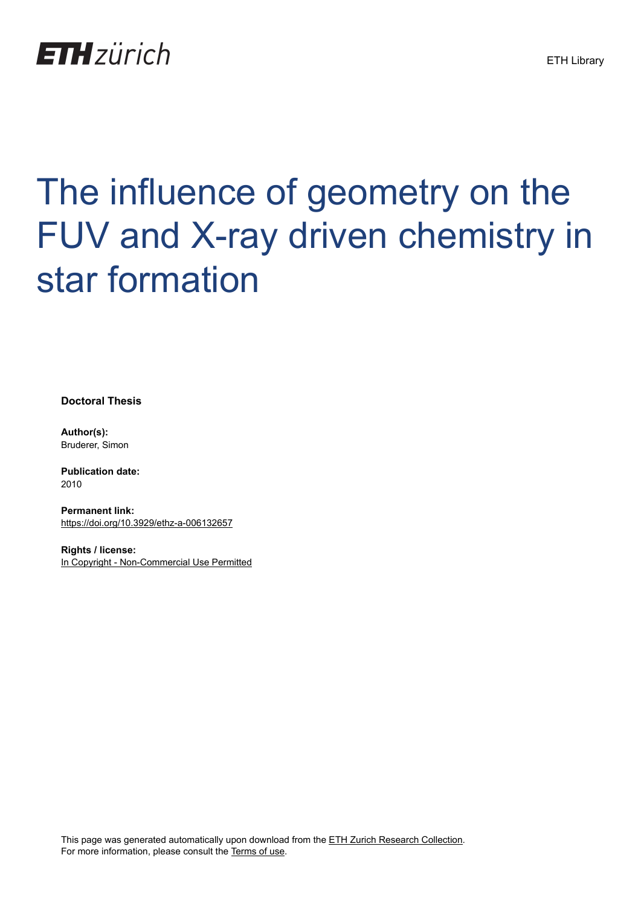

## The influence of geometry on the FUV and X-ray driven chemistry in star formation

**Doctoral Thesis**

**Author(s):** Bruderer, Simon

**Publication date:** 2010

**Permanent link:** <https://doi.org/10.3929/ethz-a-006132657>

**Rights / license:** [In Copyright - Non-Commercial Use Permitted](http://rightsstatements.org/page/InC-NC/1.0/)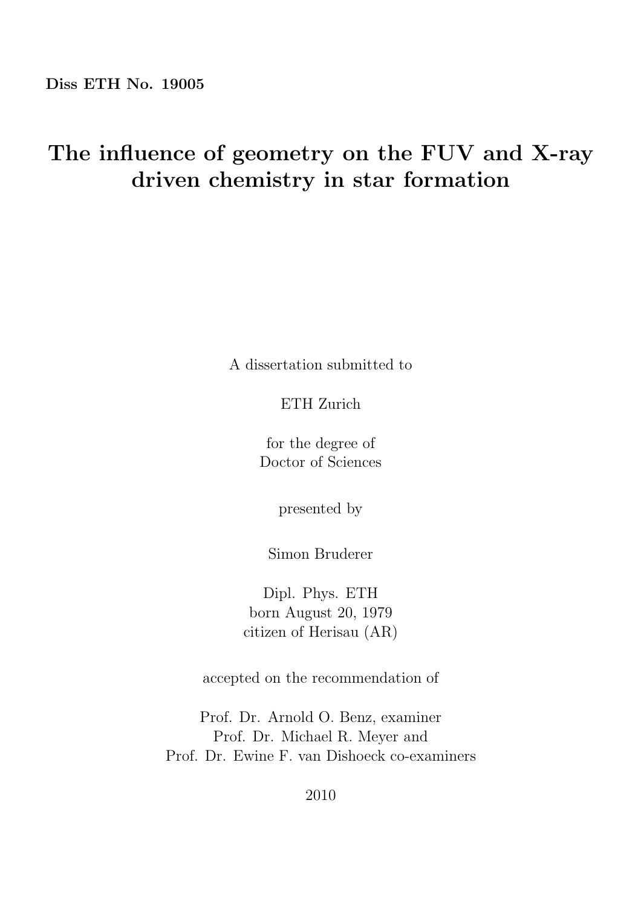## The influence of geometry on the FUV and X-ray driven chemistry in star formation

A dissertation submitted to

ETH Zurich

for the degree of Doctor of Sciences

presented by

Simon Bruderer

Dipl. Phys. ETH born August 20, 1979 citizen of Herisau (AR)

accepted on the recommendation of

Prof. Dr. Arnold O. Benz, examiner Prof. Dr. Michael R. Meyer and Prof. Dr. Ewine F. van Dishoeck co-examiners

2010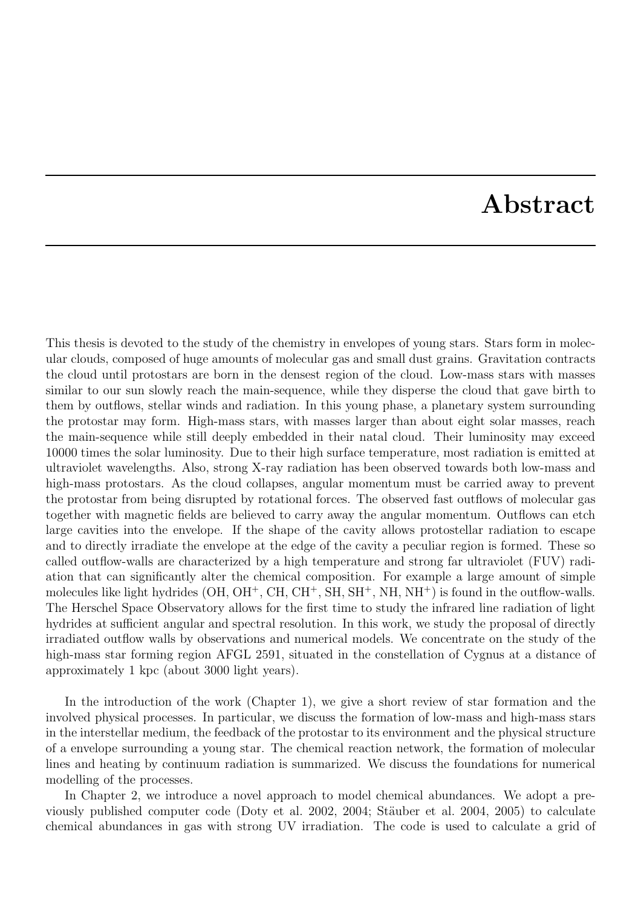## Abstract

This thesis is devoted to the study of the chemistry in envelopes of young stars. Stars form in molecular clouds, composed of huge amounts of molecular gas and small dust grains. Gravitation contracts the cloud until protostars are born in the densest region of the cloud. Low-mass stars with masses similar to our sun slowly reach the main-sequence, while they disperse the cloud that gave birth to them by outflows, stellar winds and radiation. In this young phase, a planetary system surrounding the protostar may form. High-mass stars, with masses larger than about eight solar masses, reach the main-sequence while still deeply embedded in their natal cloud. Their luminosity may exceed 10000 times the solar luminosity. Due to their high surface temperature, most radiation is emitted at ultraviolet wavelengths. Also, strong X-ray radiation has been observed towards both low-mass and high-mass protostars. As the cloud collapses, angular momentum must be carried away to prevent the protostar from being disrupted by rotational forces. The observed fast outflows of molecular gas together with magnetic fields are believed to carry away the angular momentum. Outflows can etch large cavities into the envelope. If the shape of the cavity allows protostellar radiation to escape and to directly irradiate the envelope at the edge of the cavity a peculiar region is formed. These so called outflow-walls are characterized by a high temperature and strong far ultraviolet (FUV) radiation that can significantly alter the chemical composition. For example a large amount of simple molecules like light hydrides  $(OH, OH^+, CH, CH^+, SH, SH^+, NH, NH^+)$  is found in the outflow-walls. The Herschel Space Observatory allows for the first time to study the infrared line radiation of light hydrides at sufficient angular and spectral resolution. In this work, we study the proposal of directly irradiated outflow walls by observations and numerical models. We concentrate on the study of the high-mass star forming region AFGL 2591, situated in the constellation of Cygnus at a distance of approximately 1 kpc (about 3000 light years).

In the introduction of the work (Chapter 1), we give a short review of star formation and the involved physical processes. In particular, we discuss the formation of low-mass and high-mass stars in the interstellar medium, the feedback of the protostar to its environment and the physical structure of a envelope surrounding a young star. The chemical reaction network, the formation of molecular lines and heating by continuum radiation is summarized. We discuss the foundations for numerical modelling of the processes.

In Chapter 2, we introduce a novel approach to model chemical abundances. We adopt a previously published computer code (Doty et al. 2002, 2004; Stäuber et al. 2004, 2005) to calculate chemical abundances in gas with strong UV irradiation. The code is used to calculate a grid of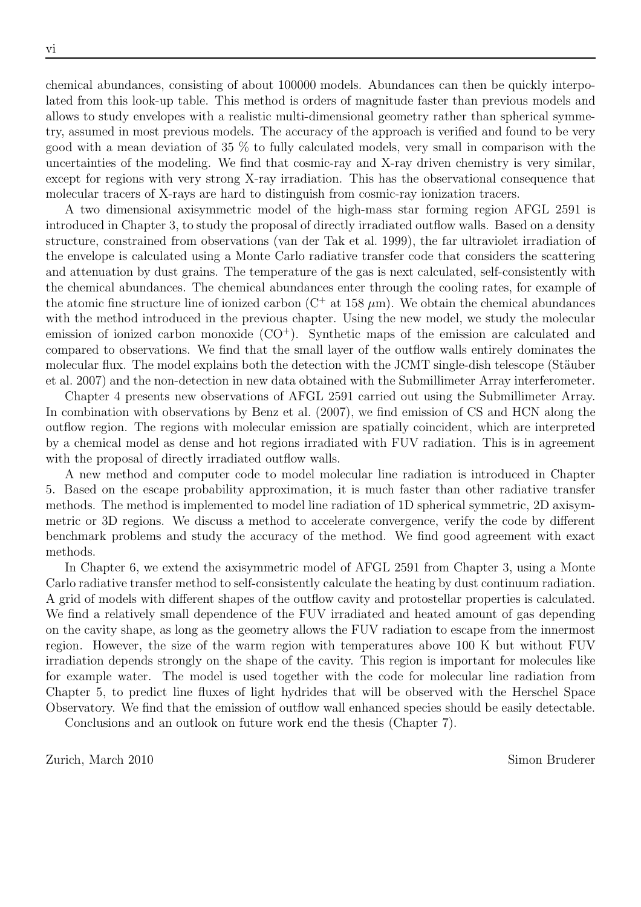chemical abundances, consisting of about 100000 models. Abundances can then be quickly interpolated from this look-up table. This method is orders of magnitude faster than previous models and allows to study envelopes with a realistic multi-dimensional geometry rather than spherical symmetry, assumed in most previous models. The accuracy of the approach is verified and found to be very good with a mean deviation of 35 % to fully calculated models, very small in comparison with the uncertainties of the modeling. We find that cosmic-ray and X-ray driven chemistry is very similar, except for regions with very strong X-ray irradiation. This has the observational consequence that molecular tracers of X-rays are hard to distinguish from cosmic-ray ionization tracers.

A two dimensional axisymmetric model of the high-mass star forming region AFGL 2591 is introduced in Chapter 3, to study the proposal of directly irradiated outflow walls. Based on a density structure, constrained from observations (van der Tak et al. 1999), the far ultraviolet irradiation of the envelope is calculated using a Monte Carlo radiative transfer code that considers the scattering and attenuation by dust grains. The temperature of the gas is next calculated, self-consistently with the chemical abundances. The chemical abundances enter through the cooling rates, for example of the atomic fine structure line of ionized carbon  $(C^+$  at 158  $\mu$ m). We obtain the chemical abundances with the method introduced in the previous chapter. Using the new model, we study the molecular emission of ionized carbon monoxide  $(CO<sup>+</sup>)$ . Synthetic maps of the emission are calculated and compared to observations. We find that the small layer of the outflow walls entirely dominates the molecular flux. The model explains both the detection with the JCMT single-dish telescope (Stäuber et al. 2007) and the non-detection in new data obtained with the Submillimeter Array interferometer.

Chapter 4 presents new observations of AFGL 2591 carried out using the Submillimeter Array. In combination with observations by Benz et al.  $(2007)$ , we find emission of CS and HCN along the outflow region. The regions with molecular emission are spatially coincident, which are interpreted by a chemical model as dense and hot regions irradiated with FUV radiation. This is in agreement with the proposal of directly irradiated outflow walls.

A new method and computer code to model molecular line radiation is introduced in Chapter 5. Based on the escape probability approximation, it is much faster than other radiative transfer methods. The method is implemented to model line radiation of 1D spherical symmetric, 2D axisymmetric or 3D regions. We discuss a method to accelerate convergence, verify the code by different benchmark problems and study the accuracy of the method. We find good agreement with exact methods.

In Chapter 6, we extend the axisymmetric model of AFGL 2591 from Chapter 3, using a Monte Carlo radiative transfer method to self-consistently calculate the heating by dust continuum radiation. A grid of models with different shapes of the outflow cavity and protostellar properties is calculated. We find a relatively small dependence of the FUV irradiated and heated amount of gas depending on the cavity shape, as long as the geometry allows the FUV radiation to escape from the innermost region. However, the size of the warm region with temperatures above 100 K but without FUV irradiation depends strongly on the shape of the cavity. This region is important for molecules like for example water. The model is used together with the code for molecular line radiation from Chapter 5, to predict line fluxes of light hydrides that will be observed with the Herschel Space Observatory. We find that the emission of outflow wall enhanced species should be easily detectable.

Conclusions and an outlook on future work end the thesis (Chapter 7).

Zurich, March 2010 Simon Bruderer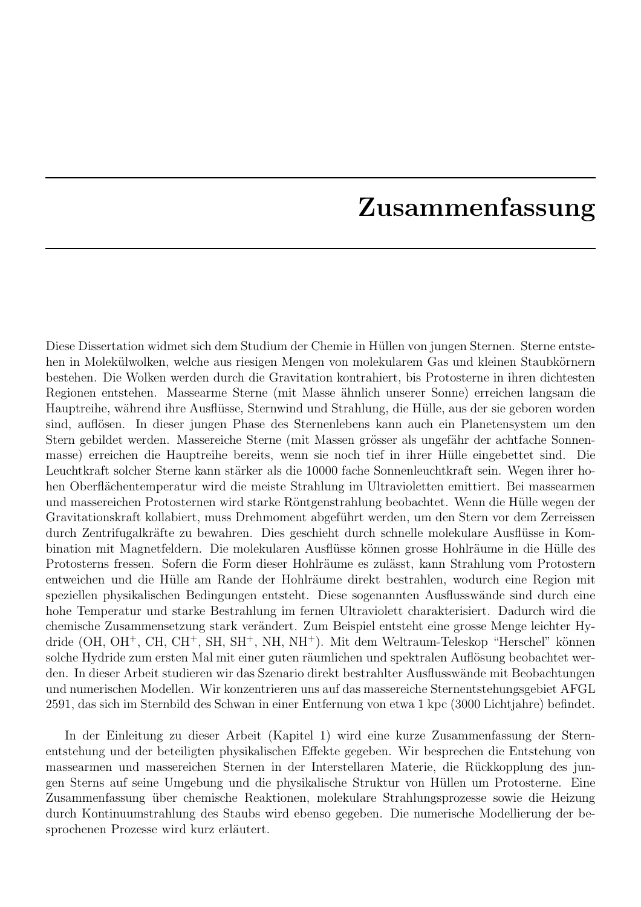## Zusammenfassung

Diese Dissertation widmet sich dem Studium der Chemie in Hüllen von jungen Sternen. Sterne entstehen in Molekülwolken, welche aus riesigen Mengen von molekularem Gas und kleinen Staubkörnern bestehen. Die Wolken werden durch die Gravitation kontrahiert, bis Protosterne in ihren dichtesten Regionen entstehen. Massearme Sterne (mit Masse ähnlich unserer Sonne) erreichen langsam die Hauptreihe, während ihre Ausflüsse, Sternwind und Strahlung, die Hülle, aus der sie geboren worden sind, auflösen. In dieser jungen Phase des Sternenlebens kann auch ein Planetensystem um den Stern gebildet werden. Massereiche Sterne (mit Massen grösser als ungefähr der achtfache Sonnenmasse) erreichen die Hauptreihe bereits, wenn sie noch tief in ihrer Hülle eingebettet sind. Die Leuchtkraft solcher Sterne kann stärker als die 10000 fache Sonnenleuchtkraft sein. Wegen ihrer hohen Oberflächentemperatur wird die meiste Strahlung im Ultravioletten emittiert. Bei massearmen und massereichen Protosternen wird starke Röntgenstrahlung beobachtet. Wenn die Hülle wegen der Gravitationskraft kollabiert, muss Drehmoment abgeführt werden, um den Stern vor dem Zerreissen durch Zentrifugalkräfte zu bewahren. Dies geschieht durch schnelle molekulare Ausflüsse in Kombination mit Magnetfeldern. Die molekularen Ausflüsse können grosse Hohlräume in die Hülle des Protosterns fressen. Sofern die Form dieser Hohlräume es zulässt, kann Strahlung vom Protostern entweichen und die Hülle am Rande der Hohlräume direkt bestrahlen, wodurch eine Region mit speziellen physikalischen Bedingungen entsteht. Diese sogenannten Ausflusswände sind durch eine hohe Temperatur und starke Bestrahlung im fernen Ultraviolett charakterisiert. Dadurch wird die chemische Zusammensetzung stark verändert. Zum Beispiel entsteht eine grosse Menge leichter Hydride (OH, OH<sup>+</sup>, CH, CH<sup>+</sup>, SH, SH<sup>+</sup>, NH, NH<sup>+</sup>). Mit dem Weltraum-Teleskop "Herschel" können solche Hydride zum ersten Mal mit einer guten räumlichen und spektralen Auflösung beobachtet werden. In dieser Arbeit studieren wir das Szenario direkt bestrahlter Ausflusswände mit Beobachtungen und numerischen Modellen. Wir konzentrieren uns auf das massereiche Sternentstehungsgebiet AFGL 2591, das sich im Sternbild des Schwan in einer Entfernung von etwa 1 kpc (3000 Lichtjahre) befindet.

In der Einleitung zu dieser Arbeit (Kapitel 1) wird eine kurze Zusammenfassung der Sternentstehung und der beteiligten physikalischen Effekte gegeben. Wir besprechen die Entstehung von massearmen und massereichen Sternen in der Interstellaren Materie, die Rückkopplung des jungen Sterns auf seine Umgebung und die physikalische Struktur von Hüllen um Protosterne. Eine Zusammenfassung über chemische Reaktionen, molekulare Strahlungsprozesse sowie die Heizung durch Kontinuumstrahlung des Staubs wird ebenso gegeben. Die numerische Modellierung der besprochenen Prozesse wird kurz erläutert.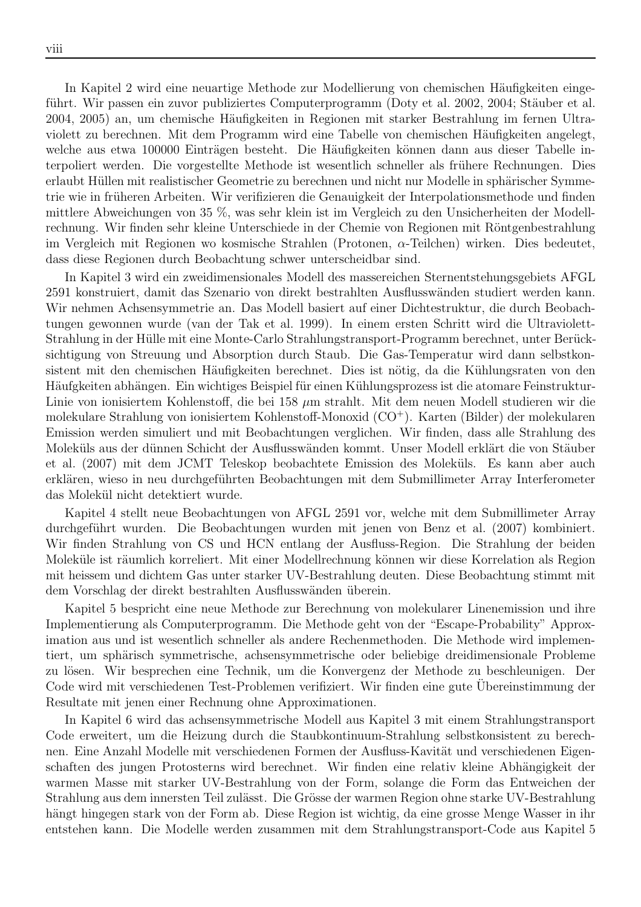In Kapitel 2 wird eine neuartige Methode zur Modellierung von chemischen Häufigkeiten eingeführt. Wir passen ein zuvor publiziertes Computerprogramm (Doty et al. 2002, 2004; Stäuber et al. 2004, 2005) an, um chemische Häufigkeiten in Regionen mit starker Bestrahlung im fernen Ultraviolett zu berechnen. Mit dem Programm wird eine Tabelle von chemischen Häufigkeiten angelegt, welche aus etwa 100000 Einträgen besteht. Die Häufigkeiten können dann aus dieser Tabelle interpoliert werden. Die vorgestellte Methode ist wesentlich schneller als frühere Rechnungen. Dies erlaubt Hüllen mit realistischer Geometrie zu berechnen und nicht nur Modelle in sphärischer Symmetrie wie in früheren Arbeiten. Wir verifizieren die Genauigkeit der Interpolationsmethode und finden mittlere Abweichungen von 35 %, was sehr klein ist im Vergleich zu den Unsicherheiten der Modellrechnung. Wir finden sehr kleine Unterschiede in der Chemie von Regionen mit Röntgenbestrahlung im Vergleich mit Regionen wo kosmische Strahlen (Protonen, α-Teilchen) wirken. Dies bedeutet, dass diese Regionen durch Beobachtung schwer unterscheidbar sind.

In Kapitel 3 wird ein zweidimensionales Modell des massereichen Sternentstehungsgebiets AFGL 2591 konstruiert, damit das Szenario von direkt bestrahlten Ausflusswänden studiert werden kann. Wir nehmen Achsensymmetrie an. Das Modell basiert auf einer Dichtestruktur, die durch Beobachtungen gewonnen wurde (van der Tak et al. 1999). In einem ersten Schritt wird die Ultraviolett-Strahlung in der Hülle mit eine Monte-Carlo Strahlungstransport-Programm berechnet, unter Berücksichtigung von Streuung und Absorption durch Staub. Die Gas-Temperatur wird dann selbstkonsistent mit den chemischen Häufigkeiten berechnet. Dies ist nötig, da die Kühlungsraten von den Häufgkeiten abhängen. Ein wichtiges Beispiel für einen Kühlungsprozess ist die atomare Feinstruktur-Linie von ionisiertem Kohlenstoff, die bei 158  $\mu$ m strahlt. Mit dem neuen Modell studieren wir die molekulare Strahlung von ionisiertem Kohlenstoff-Monoxid (CO<sup>+</sup>). Karten (Bilder) der molekularen Emission werden simuliert und mit Beobachtungen verglichen. Wir finden, dass alle Strahlung des Moleküls aus der dünnen Schicht der Ausflusswänden kommt. Unser Modell erklärt die von Stäuber et al. (2007) mit dem JCMT Teleskop beobachtete Emission des Moleküls. Es kann aber auch erklären, wieso in neu durchgeführten Beobachtungen mit dem Submillimeter Array Interferometer das Molekül nicht detektiert wurde.

Kapitel 4 stellt neue Beobachtungen von AFGL 2591 vor, welche mit dem Submillimeter Array durchgeführt wurden. Die Beobachtungen wurden mit jenen von Benz et al. (2007) kombiniert. Wir finden Strahlung von CS und HCN entlang der Ausfluss-Region. Die Strahlung der beiden Moleküle ist räumlich korreliert. Mit einer Modellrechnung können wir diese Korrelation als Region mit heissem und dichtem Gas unter starker UV-Bestrahlung deuten. Diese Beobachtung stimmt mit dem Vorschlag der direkt bestrahlten Ausflusswänden überein.

Kapitel 5 bespricht eine neue Methode zur Berechnung von molekularer Linenemission und ihre Implementierung als Computerprogramm. Die Methode geht von der "Escape-Probability" Approximation aus und ist wesentlich schneller als andere Rechenmethoden. Die Methode wird implementiert, um sphärisch symmetrische, achsensymmetrische oder beliebige dreidimensionale Probleme zu lösen. Wir besprechen eine Technik, um die Konvergenz der Methode zu beschleunigen. Der Code wird mit verschiedenen Test-Problemen verifiziert. Wir finden eine gute Ubereinstimmung der ¨ Resultate mit jenen einer Rechnung ohne Approximationen.

In Kapitel 6 wird das achsensymmetrische Modell aus Kapitel 3 mit einem Strahlungstransport Code erweitert, um die Heizung durch die Staubkontinuum-Strahlung selbstkonsistent zu berechnen. Eine Anzahl Modelle mit verschiedenen Formen der Ausfluss-Kavität und verschiedenen Eigenschaften des jungen Protosterns wird berechnet. Wir finden eine relativ kleine Abhängigkeit der warmen Masse mit starker UV-Bestrahlung von der Form, solange die Form das Entweichen der Strahlung aus dem innersten Teil zulässt. Die Grösse der warmen Region ohne starke UV-Bestrahlung hängt hingegen stark von der Form ab. Diese Region ist wichtig, da eine grosse Menge Wasser in ihr entstehen kann. Die Modelle werden zusammen mit dem Strahlungstransport-Code aus Kapitel 5